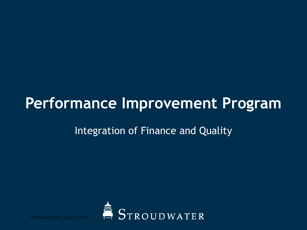# Performance Improvement Program

### Integration of Finance and Quality



609 Non-DOH August 2021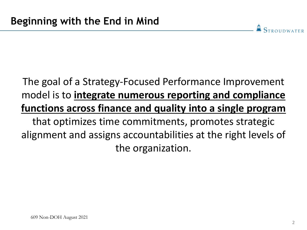# The goal of a Strategy-Focused Performance Improvement model is to **integrate numerous reporting and compliance functions across finance and quality into a single program**  that optimizes time commitments, promotes strategic alignment and assigns accountabilities at the right levels of the organization.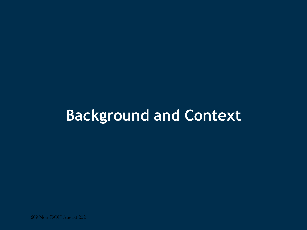# **Background and Context**

609 Non-DOH August 2021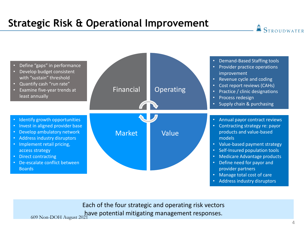## **Strategic Risk & Operational Improvement**



Each of the four strategic and operating risk vectors have potential mitigating management responses.<br>609 Non-DOH August 2021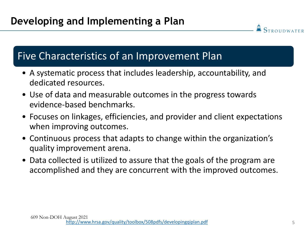#### Five Characteristics of an Improvement Plan

- A systematic process that includes leadership, accountability, and dedicated resources.
- Use of data and measurable outcomes in the progress towards evidence-based benchmarks.
- Focuses on linkages, efficiencies, and provider and client expectations when improving outcomes.
- Continuous process that adapts to change within the organization's quality improvement arena.
- Data collected is utilized to assure that the goals of the program are accomplished and they are concurrent with the improved outcomes.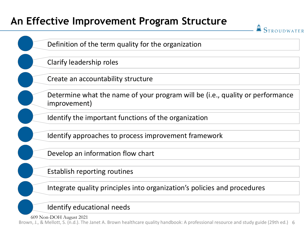### **An Effective Improvement Program Structure**

**STROUDWATER** Definition of the term quality for the organization Clarify leadership roles Create an accountability structure Determine what the name of your program will be (i.e., quality or performance improvement) Identify the important functions of the organization Identify approaches to process improvement framework Develop an information flow chart Establish reporting routines

Integrate quality principles into organization's policies and procedures

Identify educational needs

609 Non-DOH August 2021

Brown, J., & Mellott, S. (n.d.). The Janet A. Brown healthcare quality handbook: A professional resource and study guide (29th ed.) 6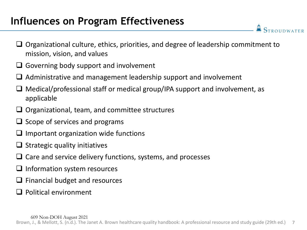### **Influences on Program Effectiveness**

 $\Box$  Organizational culture, ethics, priorities, and degree of leadership commitment to mission, vision, and values

- $\Box$  Governing body support and involvement
- Administrative and management leadership support and involvement
- $\Box$  Medical/professional staff or medical group/IPA support and involvement, as applicable
- $\Box$  Organizational, team, and committee structures
- $\Box$  Scope of services and programs
- $\Box$  Important organization wide functions
- $\Box$  Strategic quality initiatives
- $\Box$  Care and service delivery functions, systems, and processes
- $\Box$  Information system resources
- $\Box$  Financial budget and resources
- $\Box$  Political environment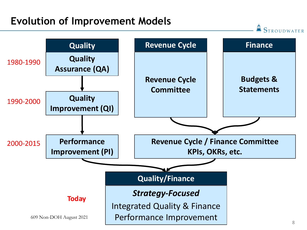#### **Evolution of Improvement Models**

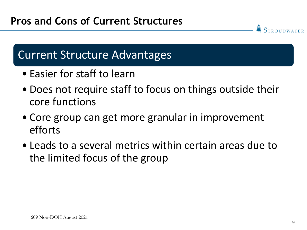# Current Structure Advantages

- Easier for staff to learn
- Does not require staff to focus on things outside their core functions
- Core group can get more granular in improvement efforts
- Leads to a several metrics within certain areas due to the limited focus of the group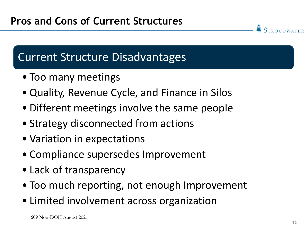# Current Structure Disadvantages

- Too many meetings
- Quality, Revenue Cycle, and Finance in Silos
- Different meetings involve the same people
- Strategy disconnected from actions
- Variation in expectations
- Compliance supersedes Improvement
- Lack of transparency
- Too much reporting, not enough Improvement
- Limited involvement across organization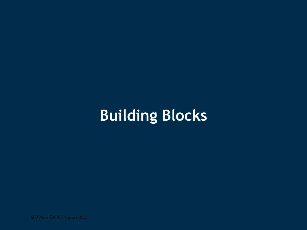# **Building Blocks**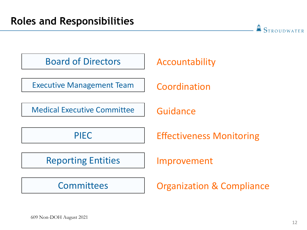Board of Directors | Accountability

Executive Management Team | Coordination

Medical Executive Committee | Guidance

Reporting Entities | Improvement

PIEC **Effectiveness Monitoring** 

Committees | Organization & Compliance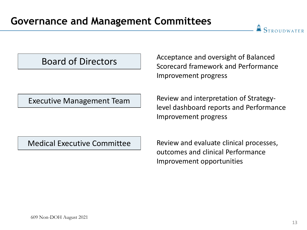**STROUDWATER** 

#### Board of Directors

Scorecard framework and Performance Improvement progress

Acceptance and oversight of Balanced

Executive Management Team

Review and interpretation of Strategylevel dashboard reports and Performance Improvement progress

Medical Executive Committee

Review and evaluate clinical processes, outcomes and clinical Performance Improvement opportunities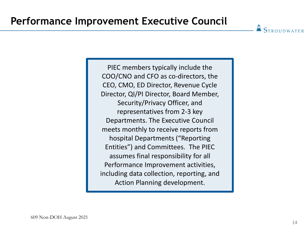PIEC members typically include the COO/CNO and CFO as co-directors, the CEO, CMO, ED Director, Revenue Cycle Director, QI/PI Director, Board Member, Security/Privacy Officer, and representatives from 2-3 key Departments. The Executive Council meets monthly to receive reports from hospital Departments ("Reporting Entities") and Committees. The PIEC assumes final responsibility for all Performance Improvement activities, including data collection, reporting, and Action Planning development.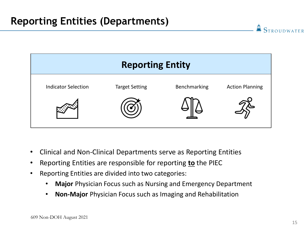

- Clinical and Non-Clinical Departments serve as Reporting Entities
- Reporting Entities are responsible for reporting **to** the PIEC
- Reporting Entities are divided into two categories:
	- **Major** Physician Focus such as Nursing and Emergency Department
	- **Non-Major** Physician Focus such as Imaging and Rehabilitation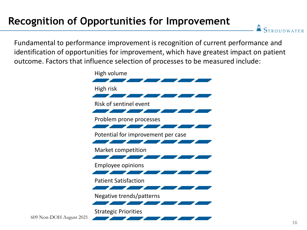## **Recognition of Opportunities for Improvement**

**STROUDWATER** 

Fundamental to performance improvement is recognition of current performance and identification of opportunities for improvement, which have greatest impact on patient outcome. Factors that influence selection of processes to be measured include:



609 Non-DOH August 2021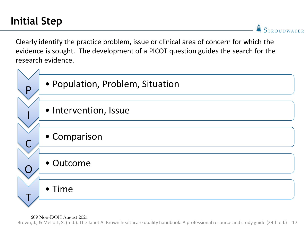**STROUDWATER** 

Clearly identify the practice problem, issue or clinical area of concern for which the evidence is sought. The development of a PICOT question guides the search for the research evidence.



Brown, J., & Mellott, S. (n.d.). The Janet A. Brown healthcare quality handbook: A professional resource and study guide (29th ed.) 17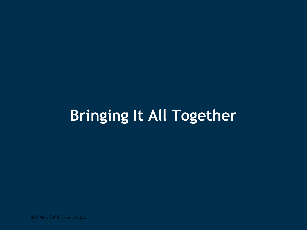# **Bringing It All Together**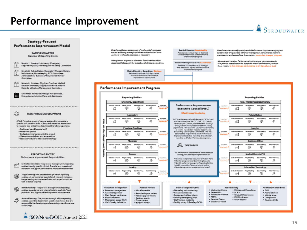#### **Performance Improvement**

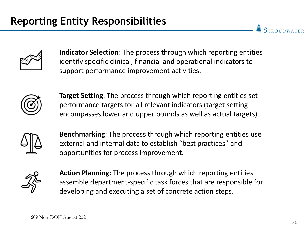

**Indicator Selection**: The process through which reporting entities identify specific clinical, financial and operational indicators to support performance improvement activities.



**Target Setting**: The process through which reporting entities set performance targets for all relevant indicators (target setting encompasses lower and upper bounds as well as actual targets).



**Benchmarking**: The process through which reporting entities use external and internal data to establish "best practices" and opportunities for process improvement.



**Action Planning**: The process through which reporting entities assemble department-specific task forces that are responsible for developing and executing a set of concrete action steps.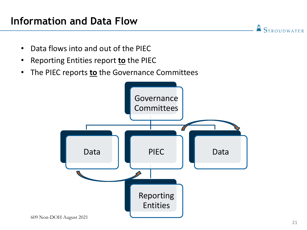### **Information and Data Flow**

• Data flows into and out of the PIEC

- Reporting Entities report **to** the PIEC
- The PIEC reports **to** the Governance Committees

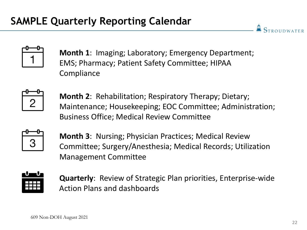

**Month 1**: Imaging; Laboratory; Emergency Department; EMS; Pharmacy; Patient Safety Committee; HIPAA **Compliance** 



**Month 2**: Rehabilitation; Respiratory Therapy; Dietary; Maintenance; Housekeeping; EOC Committee; Administration; Business Office; Medical Review Committee



**Month 3**: Nursing; Physician Practices; Medical Review Committee; Surgery/Anesthesia; Medical Records; Utilization Management Committee



**Quarterly**: Review of Strategic Plan priorities, Enterprise-wide Action Plans and dashboards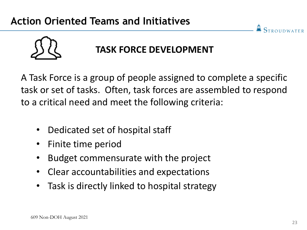

## **TASK FORCE DEVELOPMENT**

A Task Force is a group of people assigned to complete a specific task or set of tasks. Often, task forces are assembled to respond to a critical need and meet the following criteria:

- Dedicated set of hospital staff
- Finite time period
- Budget commensurate with the project
- Clear accountabilities and expectations
- Task is directly linked to hospital strategy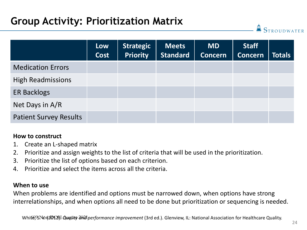## **Group Activity: Prioritization Matrix**

|                               | Low<br>Cost | <b>Strategic</b><br><b>Priority</b> | <b>Meets</b><br><b>Standard</b> | <b>MD</b><br><b>Concern</b> | <b>Staff</b><br><b>Concern</b> | <b>Totals</b> |
|-------------------------------|-------------|-------------------------------------|---------------------------------|-----------------------------|--------------------------------|---------------|
| <b>Medication Errors</b>      |             |                                     |                                 |                             |                                |               |
| <b>High Readmissions</b>      |             |                                     |                                 |                             |                                |               |
| <b>ER Backlogs</b>            |             |                                     |                                 |                             |                                |               |
| Net Days in A/R               |             |                                     |                                 |                             |                                |               |
| <b>Patient Survey Results</b> |             |                                     |                                 |                             |                                |               |

#### **How to construct**

- 1. Create an L-shaped matrix
- 2. Prioritize and assign weights to the list of criteria that will be used in the prioritization.
- 3. Prioritize the list of options based on each criterion.
- 4. Prioritize and select the items across all the criteria.

#### **When to use**

When problems are identified and options must be narrowed down, when options have strong interrelationships, and when options all need to be done but prioritization or sequencing is needed.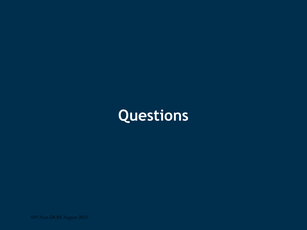# **Questions**

609 Non-DOH August 2021